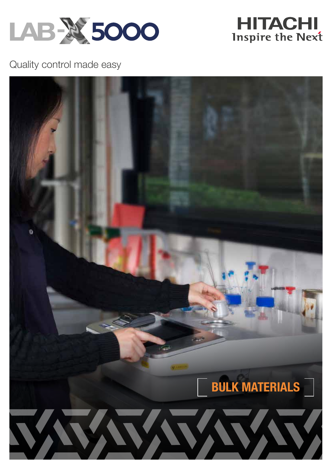



Quality control made easy

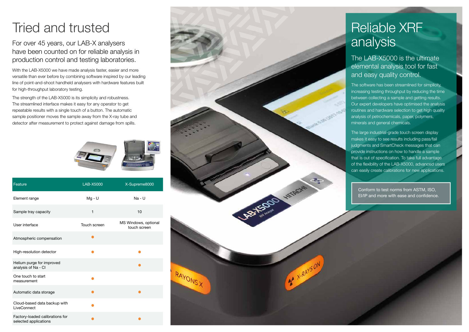For over 45 years, our LAB-X analysers have been counted on for reliable analysis in production control and testing laboratories.

With the LAB-X5000 we have made analysis faster, easier and more versatile than ever before by combining software inspired by our leading line of point-and-shoot handheld analysers with hardware features built for high-throughput laboratory testing.

The strength of the LAB-X5000 is its simplicity and robustness. The streamlined interface makes it easy for any operator to get repeatable results with a single touch of a button. The automatic sample positioner moves the sample away from the X-ray tube and detector after measurement to protect against damage from spills.





# analysis

The LAB-X5000 is the ultimate elemental analysis tool for fast and easy quality control.

The software has been streamlined for simplicity, increasing testing throughput by reducing the time between collecting a sample and getting results. Our expert developers have optimised the analysis routines and hardware selection to get high quality analysis of petrochemicals, paper, polymers, minerals and general chemicals.

The large industrial-grade touch screen display makes it easy to see results including pass/fail judgments and SmartCheck messages that can provide instructions on how to handle a sample that is out of specification. To take full advantage of the flexibility of the LAB-X5000, advanced users can easily create calibrations for new applications.

Conform to test norms from ASTM, ISO, EI/IP and more with ease and confidence.

| Feature                                                  | LAB-X5000    | X-Supreme8000                        |
|----------------------------------------------------------|--------------|--------------------------------------|
| Element range                                            | $Mg - U$     | $Na - U$                             |
| Sample tray capacity                                     | 1            | 10                                   |
| User interface                                           | Touch screen | MS Windows, optional<br>touch screen |
| Atmospheric compensation                                 |              |                                      |
| High-resolution detector                                 |              |                                      |
| Helium purge for improved<br>analysis of Na - Cl         |              |                                      |
| One touch to start<br>measurement                        |              |                                      |
| Automatic data storage                                   |              |                                      |
| Cloud-based data backup with<br>LiveConnect              |              |                                      |
| Factory-loaded calibrations for<br>selected applications |              |                                      |